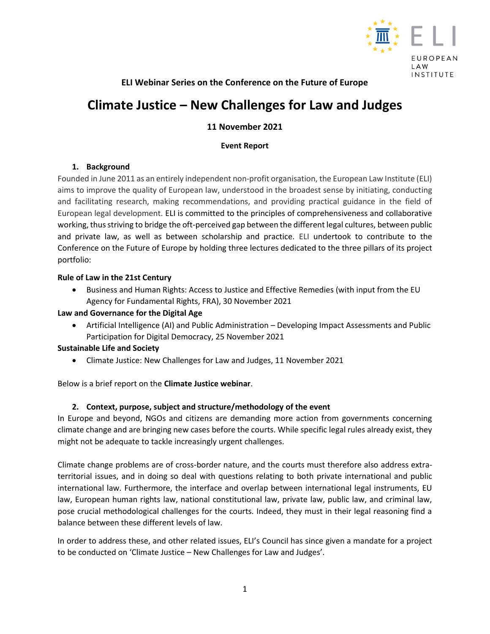

# **ELI Webinar Series on the Conference on the Future of Europe**

# **Climate Justice – [New Challenges for Law and Judges](https://europeanlawinstitute.eu/news-events/news-contd/news/climate-justice-implications-discussed-at-eli-webinar-with-eu-citizens/?tx_news_pi1%5Bcontroller%5D=News&tx_news_pi1%5Baction%5D=detail&cHash=bcc91773a51b00e0023cd461b55e6c4c)**

# **11 November 2021**

## **Event Report**

## **1. Background**

Founded in June 2011 as an entirely independent non-profit organisation, the European Law Institute (ELI) aims to improve the quality of European law, understood in the broadest sense by initiating, conducting and facilitating research, making recommendations, and providing practical guidance in the field of European legal development. ELI is committed to the principles of comprehensiveness and collaborative working, thus striving to bridge the oft-perceived gap between the different legal cultures, between public and private law, as well as between scholarship and practice. ELI undertook to contribute to the Conference on the Future of Europe by holding three lectures dedicated to the three pillars of its project portfolio:

## **Rule of Law in the 21st Century**

 Business and Human Rights: Access to Justice and Effective Remedies (with input from the EU Agency for Fundamental Rights, FRA), 30 November 2021

## **Law and Governance for the Digital Age**

 Artificial Intelligence (AI) and Public Administration – Developing Impact Assessments and Public Participation for Digital Democracy, 25 November 2021

## **Sustainable Life and Society**

Climate Justice: New Challenges for Law and Judges, 11 November 2021

Below is a brief report on the **Climate Justice webinar**.

## **2. Context, purpose, subject and structure/methodology of the event**

In Europe and beyond, NGOs and citizens are demanding more action from governments concerning climate change and are bringing new cases before the courts. While specific legal rules already exist, they might not be adequate to tackle increasingly urgent challenges.

Climate change problems are of cross-border nature, and the courts must therefore also address extraterritorial issues, and in doing so deal with questions relating to both private international and public international law. Furthermore, the interface and overlap between international legal instruments, EU law, European human rights law, national constitutional law, private law, public law, and criminal law, pose crucial methodological challenges for the courts. Indeed, they must in their legal reasoning find a balance between these different levels of law.

In order to address these, and other related issues, ELI's Council has since given a mandate for a project to be conducted on 'Climate Justice – New Challenges for Law and Judges'.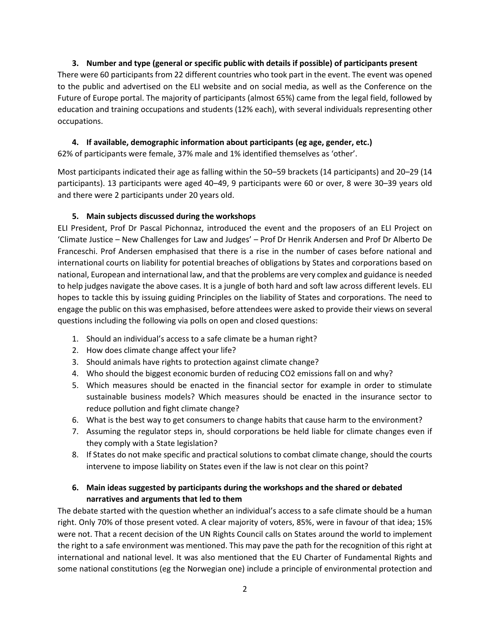## **3. Number and type (general or specific public with details if possible) of participants present**

There were 60 participants from 22 different countries who took part in the event. The event was opened to the public and advertised on the ELI website and on social media, as well as the Conference on the Future of Europe portal. The majority of participants (almost 65%) came from the legal field, followed by education and training occupations and students (12% each), with several individuals representing other occupations.

## **4. If available, demographic information about participants (eg age, gender, etc.)**

62% of participants were female, 37% male and 1% identified themselves as 'other'.

Most participants indicated their age as falling within the 50–59 brackets (14 participants) and 20–29 (14 participants). 13 participants were aged 40–49, 9 participants were 60 or over, 8 were 30–39 years old and there were 2 participants under 20 years old.

## **5. Main subjects discussed during the workshops**

ELI President, Prof Dr Pascal Pichonnaz, introduced the event and the proposers of an ELI Project on 'Climate Justice – New Challenges for Law and Judges' – Prof Dr Henrik Andersen and Prof Dr Alberto De Franceschi. Prof Andersen emphasised that there is a rise in the number of cases before national and international courts on liability for potential breaches of obligations by States and corporations based on national, European and international law, and that the problems are very complex and guidance is needed to help judges navigate the above cases. It is a jungle of both hard and soft law across different levels. ELI hopes to tackle this by issuing guiding Principles on the liability of States and corporations. The need to engage the public on this was emphasised, before attendees were asked to provide their views on several questions including the following via polls on open and closed questions:

- 1. Should an individual's access to a safe climate be a human right?
- 2. How does climate change affect your life?
- 3. Should animals have rights to protection against climate change?
- 4. Who should the biggest economic burden of reducing CO2 emissions fall on and why?
- 5. Which measures should be enacted in the financial sector for example in order to stimulate sustainable business models? Which measures should be enacted in the insurance sector to reduce pollution and fight climate change?
- 6. What is the best way to get consumers to change habits that cause harm to the environment?
- 7. Assuming the regulator steps in, should corporations be held liable for climate changes even if they comply with a State legislation?
- 8. If States do not make specific and practical solutions to combat climate change, should the courts intervene to impose liability on States even if the law is not clear on this point?

## **6. Main ideas suggested by participants during the workshops and the shared or debated narratives and arguments that led to them**

The debate started with the question whether an individual's access to a safe climate should be a human right. Only 70% of those present voted. A clear majority of voters, 85%, were in favour of that idea; 15% were not. That a recent decision of the UN Rights Council calls on States around the world to implement the right to a safe environment was mentioned. This may pave the path for the recognition of this right at international and national level. It was also mentioned that the EU Charter of Fundamental Rights and some national constitutions (eg the Norwegian one) include a principle of environmental protection and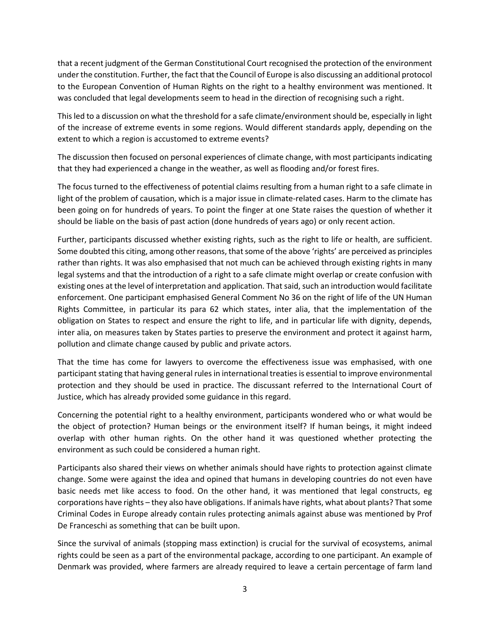that a recent judgment of the German Constitutional Court recognised the protection of the environment under the constitution. Further, the fact that the Council of Europe is also discussing an additional protocol to the European Convention of Human Rights on the right to a healthy environment was mentioned. It was concluded that legal developments seem to head in the direction of recognising such a right.

This led to a discussion on what the threshold for a safe climate/environment should be, especially in light of the increase of extreme events in some regions. Would different standards apply, depending on the extent to which a region is accustomed to extreme events?

The discussion then focused on personal experiences of climate change, with most participants indicating that they had experienced a change in the weather, as well as flooding and/or forest fires.

The focus turned to the effectiveness of potential claims resulting from a human right to a safe climate in light of the problem of causation, which is a major issue in climate-related cases. Harm to the climate has been going on for hundreds of years. To point the finger at one State raises the question of whether it should be liable on the basis of past action (done hundreds of years ago) or only recent action.

Further, participants discussed whether existing rights, such as the right to life or health, are sufficient. Some doubted this citing, among other reasons, that some of the above 'rights' are perceived as principles rather than rights. It was also emphasised that not much can be achieved through existing rights in many legal systems and that the introduction of a right to a safe climate might overlap or create confusion with existing ones at the level of interpretation and application. That said, such an introduction would facilitate enforcement. One participant emphasised General Comment No 36 on the right of life of the UN Human Rights Committee, in particular its para 62 which states, inter alia, that the implementation of the obligation on States to respect and ensure the right to life, and in particular life with dignity, depends, inter alia, on measures taken by States parties to preserve the environment and protect it against harm, pollution and climate change caused by public and private actors.

That the time has come for lawyers to overcome the effectiveness issue was emphasised, with one participant stating that having general rules in international treaties is essential to improve environmental protection and they should be used in practice. The discussant referred to the International Court of Justice, which has already provided some guidance in this regard.

Concerning the potential right to a healthy environment, participants wondered who or what would be the object of protection? Human beings or the environment itself? If human beings, it might indeed overlap with other human rights. On the other hand it was questioned whether protecting the environment as such could be considered a human right.

Participants also shared their views on whether animals should have rights to protection against climate change. Some were against the idea and opined that humans in developing countries do not even have basic needs met like access to food. On the other hand, it was mentioned that legal constructs, eg corporations have rights – they also have obligations. If animals have rights, what about plants? That some Criminal Codes in Europe already contain rules protecting animals against abuse was mentioned by Prof De Franceschi as something that can be built upon.

Since the survival of animals (stopping mass extinction) is crucial for the survival of ecosystems, animal rights could be seen as a part of the environmental package, according to one participant. An example of Denmark was provided, where farmers are already required to leave a certain percentage of farm land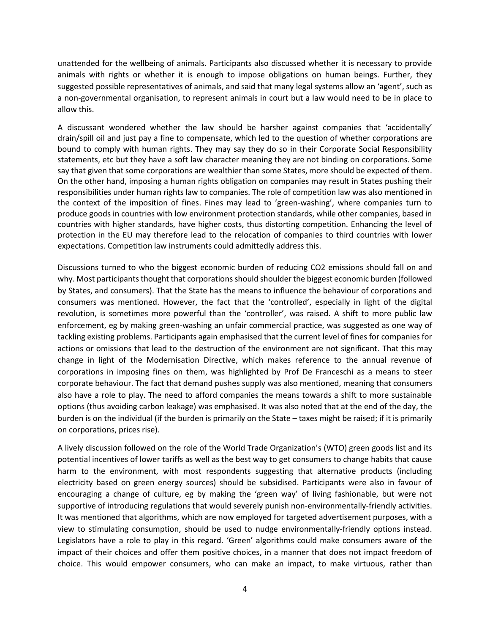unattended for the wellbeing of animals. Participants also discussed whether it is necessary to provide animals with rights or whether it is enough to impose obligations on human beings. Further, they suggested possible representatives of animals, and said that many legal systems allow an 'agent', such as a non-governmental organisation, to represent animals in court but a law would need to be in place to allow this.

A discussant wondered whether the law should be harsher against companies that 'accidentally' drain/spill oil and just pay a fine to compensate, which led to the question of whether corporations are bound to comply with human rights. They may say they do so in their Corporate Social Responsibility statements, etc but they have a soft law character meaning they are not binding on corporations. Some say that given that some corporations are wealthier than some States, more should be expected of them. On the other hand, imposing a human rights obligation on companies may result in States pushing their responsibilities under human rights law to companies. The role of competition law was also mentioned in the context of the imposition of fines. Fines may lead to 'green-washing', where companies turn to produce goods in countries with low environment protection standards, while other companies, based in countries with higher standards, have higher costs, thus distorting competition. Enhancing the level of protection in the EU may therefore lead to the relocation of companies to third countries with lower expectations. Competition law instruments could admittedly address this.

Discussions turned to who the biggest economic burden of reducing CO2 emissions should fall on and why. Most participants thought that corporationsshould shoulder the biggest economic burden (followed by States, and consumers). That the State has the means to influence the behaviour of corporations and consumers was mentioned. However, the fact that the 'controlled', especially in light of the digital revolution, is sometimes more powerful than the 'controller', was raised. A shift to more public law enforcement, eg by making green-washing an unfair commercial practice, was suggested as one way of tackling existing problems. Participants again emphasised that the current level of fines for companies for actions or omissions that lead to the destruction of the environment are not significant. That this may change in light of the Modernisation Directive, which makes reference to the annual revenue of corporations in imposing fines on them, was highlighted by Prof De Franceschi as a means to steer corporate behaviour. The fact that demand pushes supply was also mentioned, meaning that consumers also have a role to play. The need to afford companies the means towards a shift to more sustainable options (thus avoiding carbon leakage) was emphasised. It was also noted that at the end of the day, the burden is on the individual (if the burden is primarily on the State – taxes might be raised; if it is primarily on corporations, prices rise).

A lively discussion followed on the role of the World Trade Organization's (WTO) green goods list and its potential incentives of lower tariffs as well as the best way to get consumers to change habits that cause harm to the environment, with most respondents suggesting that alternative products (including electricity based on green energy sources) should be subsidised. Participants were also in favour of encouraging a change of culture, eg by making the 'green way' of living fashionable, but were not supportive of introducing regulations that would severely punish non-environmentally-friendly activities. It was mentioned that algorithms, which are now employed for targeted advertisement purposes, with a view to stimulating consumption, should be used to nudge environmentally-friendly options instead. Legislators have a role to play in this regard. 'Green' algorithms could make consumers aware of the impact of their choices and offer them positive choices, in a manner that does not impact freedom of choice. This would empower consumers, who can make an impact, to make virtuous, rather than